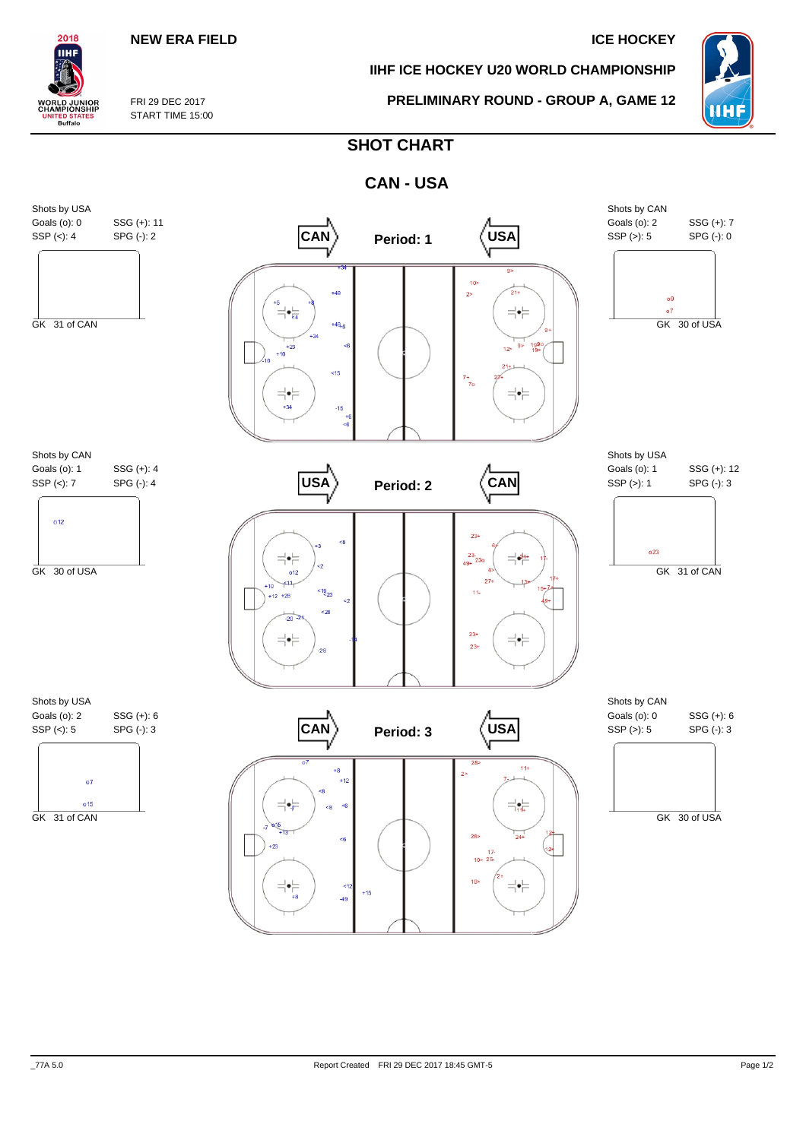### **NEW ERA FIELD ICE HOCKEY**

**IIHF ICE HOCKEY U20 WORLD CHAMPIONSHIP**

**PRELIMINARY ROUND - GROUP A, GAME 12**



FRI 29 DEC 2017 START TIME 15:00

2018 IІHI

**WORLD JUNIOR**<br>CHAMPIONSHIP

**ITED STATES**<br>Buffalo

# **SHOT CHART**